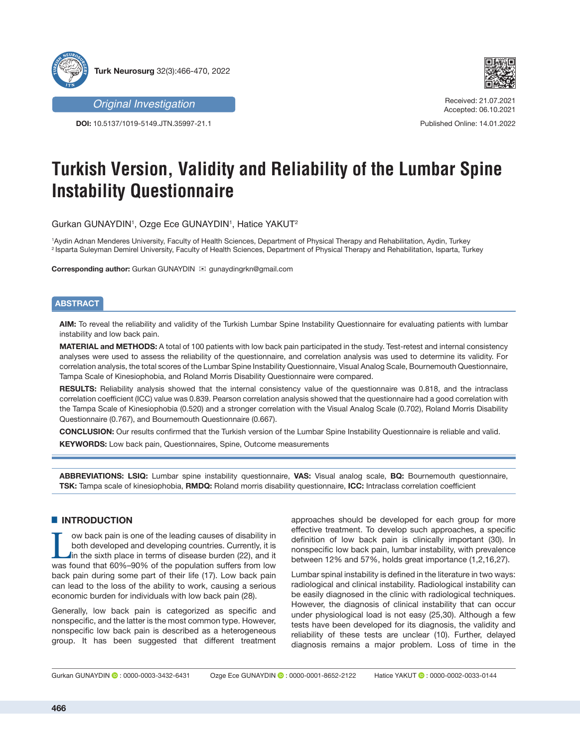



Received: 21.07.2021 Accepted: 06.10.2021

Published Online: 14.01.2022

*Original Investigation*

**DOI:** 10.5137/1019-5149.JTN.35997-21.1

# **Turkish Version, Validity and Reliability of the Lumbar Spine Instability Questionnaire**

Gurkan GUNAYDIN1 , Ozge Ece GUNAYDIN1 , Hatice YAKUT2

1 Aydin Adnan Menderes University, Faculty of Health Sciences, Department of Physical Therapy and Rehabilitation, Aydin, Turkey <sup>2</sup> Isparta Suleyman Demirel University, Faculty of Health Sciences, Department of Physical Therapy and Rehabilitation, Isparta, Turkey

**Corresponding author:** Gurkan GUNAYDIN **⊠** gunaydingrkn@gmail.com

# **ABSTRACT**

**AIM:** To reveal the reliability and validity of the Turkish Lumbar Spine Instability Questionnaire for evaluating patients with lumbar instability and low back pain.

**MATERIAL and METHODS:** A total of 100 patients with low back pain participated in the study. Test-retest and internal consistency analyses were used to assess the reliability of the questionnaire, and correlation analysis was used to determine its validity. For correlation analysis, the total scores of the Lumbar Spine Instability Questionnaire, Visual Analog Scale, Bournemouth Questionnaire, Tampa Scale of Kinesiophobia, and Roland Morris Disability Questionnaire were compared.

**RESULTS:** Reliability analysis showed that the internal consistency value of the questionnaire was 0.818, and the intraclass correlation coefficient (ICC) value was 0.839. Pearson correlation analysis showed that the questionnaire had a good correlation with the Tampa Scale of Kinesiophobia (0.520) and a stronger correlation with the Visual Analog Scale (0.702), Roland Morris Disability Questionnaire (0.767), and Bournemouth Questionnaire (0.667).

**CONCLUSION:** Our results confirmed that the Turkish version of the Lumbar Spine Instability Questionnaire is reliable and valid. **KEYWORDS:** Low back pain, Questionnaires, Spine, Outcome measurements

**ABBREVIATIONS: LSIQ:** Lumbar spine instability questionnaire, **VAS:** Visual analog scale, **BQ:** Bournemouth questionnaire, **TSK:** Tampa scale of kinesiophobia, **RMDQ:** Roland morris disability questionnaire, **ICC:** Intraclass correlation coefficient

# █ **INTRODUCTION**

Tow back pain is one of the leading causes of disability in<br>
both developed and developing countries. Currently, it is<br>
in the sixth place in terms of disease burden (22), and it<br>
was found that 60%-90% of the population s both developed and developing countries. Currently, it is was found that 60%–90% of the population suffers from low back pain during some part of their life (17). Low back pain can lead to the loss of the ability to work, causing a serious economic burden for individuals with low back pain (28).

Generally, low back pain is categorized as specific and nonspecific, and the latter is the most common type. However, nonspecific low back pain is described as a heterogeneous group. It has been suggested that different treatment approaches should be developed for each group for more effective treatment. To develop such approaches, a specific definition of low back pain is clinically important (30). In nonspecific low back pain, lumbar instability, with prevalence between 12% and 57%, holds great importance (1,2,16,27).

Lumbar spinal instability is defined in the literature in two ways: radiological and clinical instability. Radiological instability can be easily diagnosed in the clinic with radiological techniques. However, the diagnosis of clinical instability that can occur under physiological load is not easy (25,30). Although a few tests have been developed for its diagnosis, the validity and reliability of these tests are unclear (10). Further, delayed diagnosis remains a major problem. Loss of time in the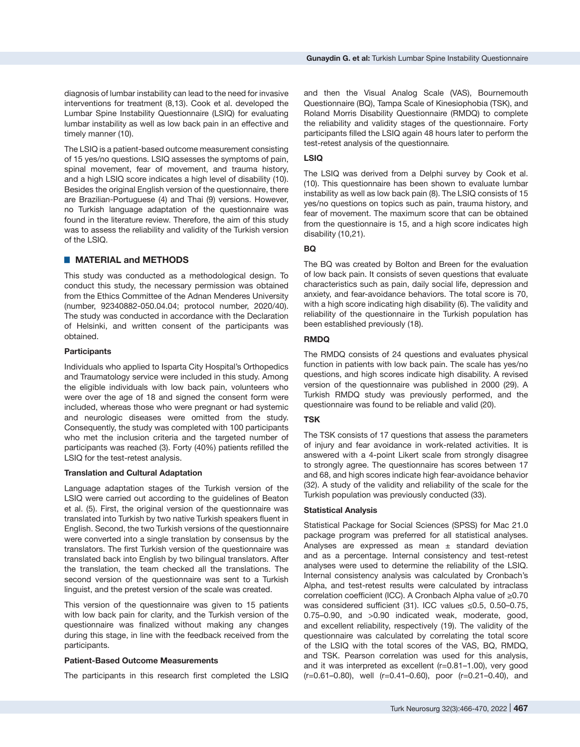diagnosis of lumbar instability can lead to the need for invasive interventions for treatment (8,13). Cook et al. developed the Lumbar Spine Instability Questionnaire (LSIQ) for evaluating lumbar instability as well as low back pain in an effective and timely manner (10).

The LSIQ is a patient-based outcome measurement consisting of 15 yes/no questions. LSIQ assesses the symptoms of pain, spinal movement, fear of movement, and trauma history, and a high LSIQ score indicates a high level of disability (10). Besides the original English version of the questionnaire, there are Brazilian-Portuguese (4) and Thai (9) versions. However, no Turkish language adaptation of the questionnaire was found in the literature review. Therefore, the aim of this study was to assess the reliability and validity of the Turkish version of the LSIQ.

#### ■ **MATERIAL and METHODS**

This study was conducted as a methodological design. To conduct this study, the necessary permission was obtained from the Ethics Committee of the Adnan Menderes University (number, 92340882-050.04.04; protocol number, 2020/40). The study was conducted in accordance with the Declaration of Helsinki, and written consent of the participants was obtained.

#### **Participants**

Individuals who applied to Isparta City Hospital's Orthopedics and Traumatology service were included in this study. Among the eligible individuals with low back pain, volunteers who were over the age of 18 and signed the consent form were included, whereas those who were pregnant or had systemic and neurologic diseases were omitted from the study. Consequently, the study was completed with 100 participants who met the inclusion criteria and the targeted number of participants was reached (3). Forty (40%) patients refilled the LSIQ for the test-retest analysis.

#### **Translation and Cultural Adaptation**

Language adaptation stages of the Turkish version of the LSIQ were carried out according to the guidelines of Beaton et al. (5). First, the original version of the questionnaire was translated into Turkish by two native Turkish speakers fluent in English. Second, the two Turkish versions of the questionnaire were converted into a single translation by consensus by the translators. The first Turkish version of the questionnaire was translated back into English by two bilingual translators. After the translation, the team checked all the translations. The second version of the questionnaire was sent to a Turkish linguist, and the pretest version of the scale was created.

This version of the questionnaire was given to 15 patients with low back pain for clarity, and the Turkish version of the questionnaire was finalized without making any changes during this stage, in line with the feedback received from the participants.

# **Patient-Based Outcome Measurements**

The participants in this research first completed the LSIQ

and then the Visual Analog Scale (VAS), Bournemouth Questionnaire (BQ), Tampa Scale of Kinesiophobia (TSK), and Roland Morris Disability Questionnaire (RMDQ) to complete the reliability and validity stages of the questionnaire. Forty participants filled the LSIQ again 48 hours later to perform the test-retest analysis of the questionnaire*.*

#### **LSIQ**

The LSIQ was derived from a Delphi survey by Cook et al. (10). This questionnaire has been shown to evaluate lumbar instability as well as low back pain (8). The LSIQ consists of 15 yes/no questions on topics such as pain, trauma history, and fear of movement. The maximum score that can be obtained from the questionnaire is 15, and a high score indicates high disability (10,21).

# **BQ**

The BQ was created by Bolton and Breen for the evaluation of low back pain. It consists of seven questions that evaluate characteristics such as pain, daily social life, depression and anxiety, and fear-avoidance behaviors. The total score is 70, with a high score indicating high disability (6). The validity and reliability of the questionnaire in the Turkish population has been established previously (18).

#### **RMDQ**

The RMDQ consists of 24 questions and evaluates physical function in patients with low back pain. The scale has yes/no questions, and high scores indicate high disability. A revised version of the questionnaire was published in 2000 (29). A Turkish RMDQ study was previously performed, and the questionnaire was found to be reliable and valid (20).

#### **TSK**

The TSK consists of 17 questions that assess the parameters of injury and fear avoidance in work-related activities. It is answered with a 4-point Likert scale from strongly disagree to strongly agree. The questionnaire has scores between 17 and 68, and high scores indicate high fear-avoidance behavior (32). A study of the validity and reliability of the scale for the Turkish population was previously conducted (33).

#### **Statistical Analysis**

Statistical Package for Social Sciences (SPSS) for Mac 21.0 package program was preferred for all statistical analyses. Analyses are expressed as mean  $\pm$  standard deviation and as a percentage. Internal consistency and test-retest analyses were used to determine the reliability of the LSIQ. Internal consistency analysis was calculated by Cronbach's Alpha, and test-retest results were calculated by intraclass correlation coefficient (ICC). A Cronbach Alpha value of ≥0.70 was considered sufficient (31). ICC values ≤0.5, 0.50–0.75, 0.75–0.90, and >0.90 indicated weak, moderate, good, and excellent reliability, respectively (19). The validity of the questionnaire was calculated by correlating the total score of the LSIQ with the total scores of the VAS, BQ, RMDQ, and TSK. Pearson correlation was used for this analysis, and it was interpreted as excellent (r=0.81–1.00), very good (r=0.61–0.80), well (r=0.41–0.60), poor (r=0.21–0.40), and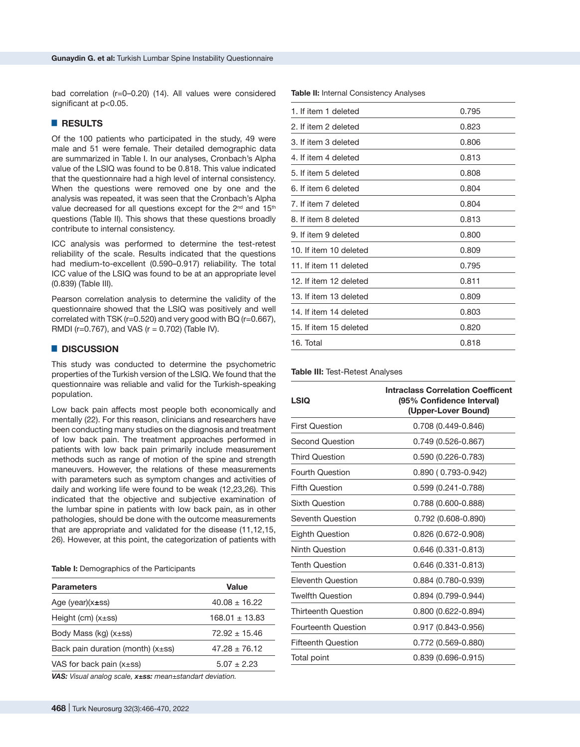bad correlation (r=0–0.20) (14). All values were considered significant at p<0.05.

## █ **RESULTS**

Of the 100 patients who participated in the study, 49 were male and 51 were female. Their detailed demographic data are summarized in Table I. In our analyses, Cronbach's Alpha value of the LSIQ was found to be 0.818. This value indicated that the questionnaire had a high level of internal consistency. When the questions were removed one by one and the analysis was repeated, it was seen that the Cronbach's Alpha value decreased for all questions except for the 2<sup>nd</sup> and 15<sup>th</sup> questions (Table II). This shows that these questions broadly contribute to internal consistency.

ICC analysis was performed to determine the test-retest reliability of the scale. Results indicated that the questions had medium-to-excellent (0.590–0.917) reliability. The total ICC value of the LSIQ was found to be at an appropriate level (0.839) (Table III).

Pearson correlation analysis to determine the validity of the questionnaire showed that the LSIQ was positively and well correlated with TSK (r=0.520) and very good with BQ (r=0.667), RMDI ( $r=0.767$ ), and VAS ( $r = 0.702$ ) (Table IV).

#### █ **DISCUSSION**

This study was conducted to determine the psychometric properties of the Turkish version of the LSIQ. We found that the questionnaire was reliable and valid for the Turkish-speaking population.

Low back pain affects most people both economically and mentally (22). For this reason, clinicians and researchers have been conducting many studies on the diagnosis and treatment of low back pain. The treatment approaches performed in patients with low back pain primarily include measurement methods such as range of motion of the spine and strength maneuvers. However, the relations of these measurements with parameters such as symptom changes and activities of daily and working life were found to be weak (12,23,26). This indicated that the objective and subjective examination of the lumbar spine in patients with low back pain, as in other pathologies, should be done with the outcome measurements that are appropriate and validated for the disease (11,12,15, 26). However, at this point, the categorization of patients with

**Table I:** Demographics of the Participants

| <b>Parameters</b>                      | Value              |  |  |
|----------------------------------------|--------------------|--|--|
| Age (year) $(x\pm ss)$                 | $40.08 \pm 16.22$  |  |  |
| Height (cm) $(x\pm ss)$                | $168.01 \pm 13.83$ |  |  |
| Body Mass (kg) $(x\pm ss)$             | $72.92 + 15.46$    |  |  |
| Back pain duration (month) $(x\pm ss)$ | $47.28 \pm 76.12$  |  |  |
| VAS for back pain $(x\pm ss)$          | $5.07 + 2.23$      |  |  |

*VAS: Visual analog scale, x±ss: mean±standart deviation.*

| 1. If item 1 deleted   | 0.795 |
|------------------------|-------|
| 2. If item 2 deleted   | 0.823 |
| 3. If item 3 deleted   | 0.806 |
| 4. If item 4 deleted   | 0.813 |
| 5. If item 5 deleted   | 0.808 |
| 6. If item 6 deleted   | 0.804 |
| 7. If item 7 deleted   | 0.804 |
| 8. If item 8 deleted   | 0.813 |
| 9. If item 9 deleted   | 0.800 |
| 10. If item 10 deleted | 0.809 |
| 11. If item 11 deleted | 0.795 |
| 12. If item 12 deleted | 0.811 |
| 13. If item 13 deleted | 0.809 |
| 14. If item 14 deleted | 0.803 |
| 15. If item 15 deleted | 0.820 |
| 16. Total              | 0.818 |

**Table II:** Internal Consistency Analyses

#### **Table III:** Test-Retest Analyses

| LSIQ                       | <b>Intraclass Correlation Coefficent</b><br>(95% Confidence Interval)<br>(Upper-Lover Bound) |
|----------------------------|----------------------------------------------------------------------------------------------|
| <b>First Question</b>      | $0.708(0.449 - 0.846)$                                                                       |
| <b>Second Question</b>     | $0.749(0.526 - 0.867)$                                                                       |
| <b>Third Question</b>      | $0.590(0.226 - 0.783)$                                                                       |
| <b>Fourth Question</b>     | $0.890(0.793 - 0.942)$                                                                       |
| <b>Fifth Question</b>      | 0.599 (0.241-0.788)                                                                          |
| <b>Sixth Question</b>      | $0.788(0.600 - 0.888)$                                                                       |
| Seventh Question           | 0.792 (0.608-0.890)                                                                          |
| <b>Eighth Question</b>     | 0.826 (0.672-0.908)                                                                          |
| <b>Ninth Question</b>      | 0.646 (0.331-0.813)                                                                          |
| <b>Tenth Question</b>      | 0.646 (0.331-0.813)                                                                          |
| Eleventh Question          | 0.884 (0.780-0.939)                                                                          |
| <b>Twelfth Question</b>    | 0.894 (0.799-0.944)                                                                          |
| <b>Thirteenth Question</b> | $0.800(0.622 - 0.894)$                                                                       |
| <b>Fourteenth Question</b> | $0.917(0.843 - 0.956)$                                                                       |
| <b>Fifteenth Question</b>  | $0.772(0.569 - 0.880)$                                                                       |
| Total point                | $0.839(0.696 - 0.915)$                                                                       |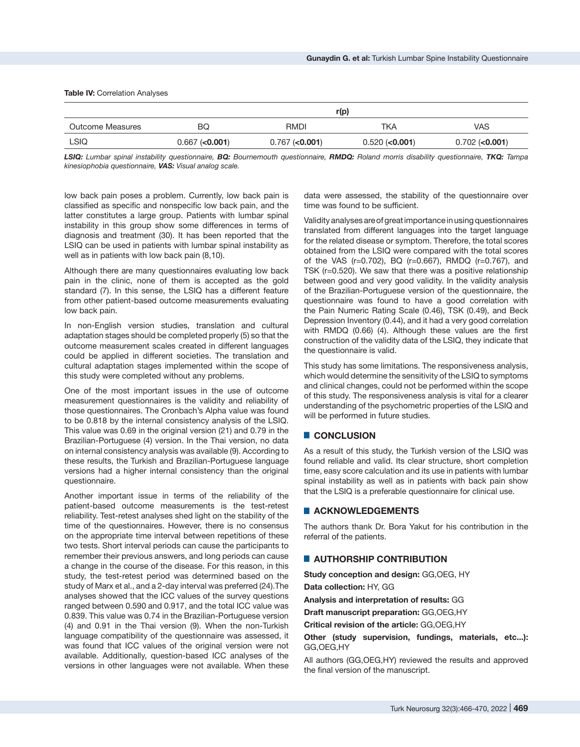#### **Table IV: Correlation Analyses**

|                  | r(p)                |                     |                     |                     |  |
|------------------|---------------------|---------------------|---------------------|---------------------|--|
| Outcome Measures | BQ                  | RMDI                | TKA                 | VAS                 |  |
| LSIQ             | $0.667$ ( $0.001$ ) | $0.767$ ( $0.001$ ) | $0.520$ ( $0.001$ ) | $0.702$ ( $0.001$ ) |  |

*LSIQ: Lumbar spinal instability questionnaire, BQ: Bournemouth questionnaire, RMDQ: Roland morris disability questionnaire, TKQ: Tampa kinesiophobia questionnaire, VAS: Visual analog scale.*

low back pain poses a problem. Currently, low back pain is classified as specific and nonspecific low back pain, and the latter constitutes a large group. Patients with lumbar spinal instability in this group show some differences in terms of diagnosis and treatment (30). It has been reported that the LSIQ can be used in patients with lumbar spinal instability as well as in patients with low back pain (8,10).

Although there are many questionnaires evaluating low back pain in the clinic, none of them is accepted as the gold standard (7). In this sense, the LSIQ has a different feature from other patient-based outcome measurements evaluating low back pain.

In non-English version studies, translation and cultural adaptation stages should be completed properly (5) so that the outcome measurement scales created in different languages could be applied in different societies. The translation and cultural adaptation stages implemented within the scope of this study were completed without any problems.

One of the most important issues in the use of outcome measurement questionnaires is the validity and reliability of those questionnaires. The Cronbach's Alpha value was found to be 0.818 by the internal consistency analysis of the LSIQ. This value was 0.69 in the original version (21) and 0.79 in the Brazilian-Portuguese (4) version. In the Thai version, no data on internal consistency analysis was available (9). According to these results, the Turkish and Brazilian-Portuguese language versions had a higher internal consistency than the original questionnaire.

Another important issue in terms of the reliability of the patient-based outcome measurements is the test-retest reliability. Test-retest analyses shed light on the stability of the time of the questionnaires. However, there is no consensus on the appropriate time interval between repetitions of these two tests. Short interval periods can cause the participants to remember their previous answers, and long periods can cause a change in the course of the disease. For this reason, in this study, the test-retest period was determined based on the study of Marx et al., and a 2-day interval was preferred (24).The analyses showed that the ICC values of the survey questions ranged between 0.590 and 0.917, and the total ICC value was 0.839. This value was 0.74 in the Brazilian-Portuguese version (4) and 0.91 in the Thai version (9). When the non-Turkish language compatibility of the questionnaire was assessed, it was found that ICC values of the original version were not available. Additionally, question-based ICC analyses of the versions in other languages were not available. When these

data were assessed, the stability of the questionnaire over time was found to be sufficient.

Validity analyses are of great importance in using questionnaires translated from different languages into the target language for the related disease or symptom. Therefore, the total scores obtained from the LSIQ were compared with the total scores of the VAS (r=0.702), BQ (r=0.667), RMDQ (r=0.767), and TSK (r=0.520). We saw that there was a positive relationship between good and very good validity. In the validity analysis of the Brazilian-Portuguese version of the questionnaire, the questionnaire was found to have a good correlation with the Pain Numeric Rating Scale (0.46), TSK (0.49), and Beck Depression Inventory (0.44), and it had a very good correlation with RMDQ (0.66) (4). Although these values are the first construction of the validity data of the LSIQ, they indicate that the questionnaire is valid.

This study has some limitations. The responsiveness analysis, which would determine the sensitivity of the LSIQ to symptoms and clinical changes, could not be performed within the scope of this study. The responsiveness analysis is vital for a clearer understanding of the psychometric properties of the LSIQ and will be performed in future studies.

## █ **CONCLUSION**

As a result of this study, the Turkish version of the LSIQ was found reliable and valid. Its clear structure, short completion time, easy score calculation and its use in patients with lumbar spinal instability as well as in patients with back pain show that the LSIQ is a preferable questionnaire for clinical use.

# █ **ACKNOWLEDGEMENTS**

The authors thank Dr. Bora Yakut for his contribution in the referral of the patients.

## █ **AUTHORSHIP CONTRIBUTION**

**Study conception and design:** GG,OEG, HY

**Data collection:** HY, GG

**Analysis and interpretation of results:** GG

**Draft manuscript preparation:** GG,OEG,HY

**Critical revision of the article:** GG,OEG,HY

**Other (study supervision, fundings, materials, etc...):** GG,OEG,HY

All authors (GG,OEG,HY) reviewed the results and approved the final version of the manuscript.